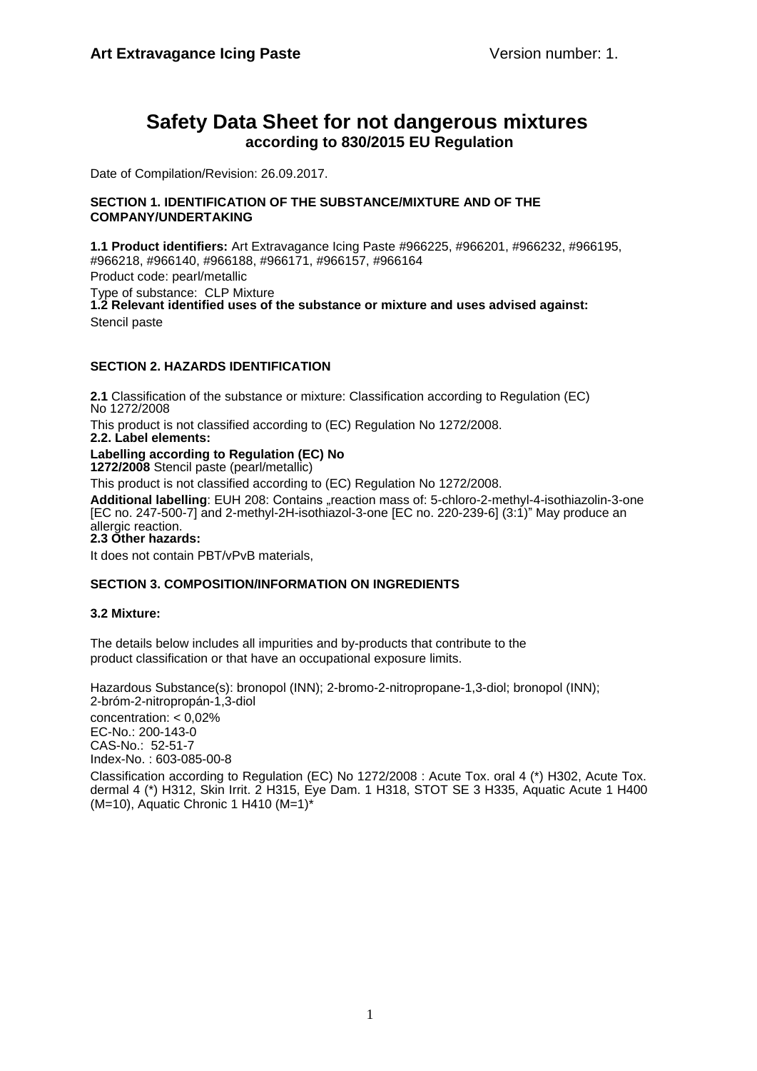# **Safety Data Sheet for not dangerous mixtures according to 830/2015 EU Regulation**

Date of Compilation/Revision: 26.09.2017.

### **SECTION 1. IDENTIFICATION OF THE SUBSTANCE/MIXTURE AND OF THE COMPANY/UNDERTAKING**

**1.1 Product identifiers:** Art Extravagance Icing Paste #966225, #966201, #966232, #966195, #966218, #966140, #966188, #966171, #966157, #966164

Product code: pearl/metallic

Type of substance: CLP Mixture **1.2 Relevant identified uses of the substance or mixture and uses advised against:**  Stencil paste

# **SECTION 2. HAZARDS IDENTIFICATION**

**2.1** Classification of the substance or mixture: Classification according to Regulation (EC) No 12[72/2008](mailto:info@pentacolor.hu) 

This product is not classified according to (EC[\) Regulation No 1272](mailto:info@pentacolor.hu)/2008.

**2.2. Label elements:** 

**Labelling according to Regulation (EC) No** 

**1272/2008** Stencil paste (pearl/metallic)

This product is not classified according to (EC) Regulation No 1272/2008.

**Additional labelling**: EUH 208: Contains ..reaction mass of: 5-chloro-2-methyl-4-isothiazolin-3-one [EC no. 247-500-7] and 2-methyl-2H-isothiazol-3-one [EC no. 220-239-6] (3:1)" May produce an allergic reaction.

# **2.3 Other hazards:**

It does not contain PBT/vPvB materials,

# **SECTION 3. COMPOSITION/INFORMATION ON INGREDIENTS**

# **3.2 Mixture:**

The details below includes all impurities and by-products that contribute to the product classification or that have an occupational exposure limits.

Hazardous Substance(s): bronopol (INN); 2-bromo-2-nitropropane-1,3-diol; bronopol (INN); 2-bróm-2-nitropropán-1,3-diol concentration: < 0,02% EC-No.: 200-143-0 CAS-No.: 52-51-7 Index-No. : 603-085-00-8 Classification according to Regulation (EC) No 1272/2008 : Acute Tox. oral 4 (\*) H302, Acute Tox. dermal 4 (\*) H312, Skin Irrit. 2 H315, Eye Dam. 1 H318, STOT SE 3 H335, Aquatic Acute 1 H400

(M=10), Aquatic Chronic 1 H410  $(M=1)^*$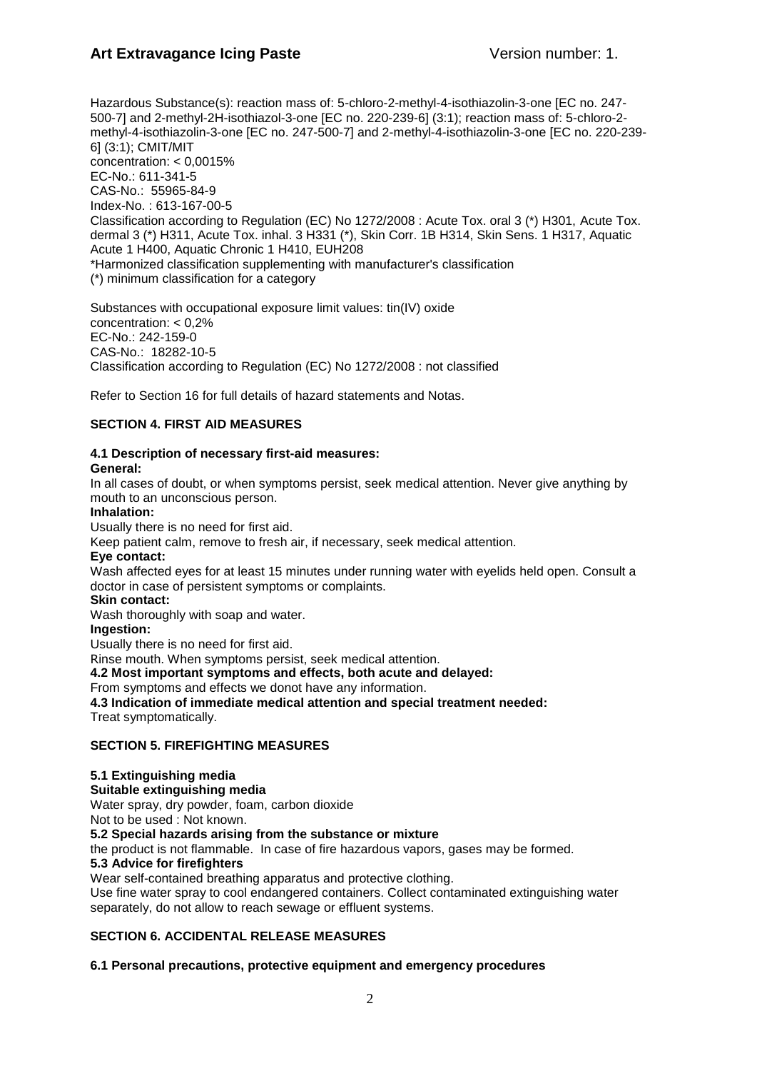Hazardous Substance(s): reaction mass of: 5-chloro-2-methyl-4-isothiazolin-3-one [EC no. 247- 500-7] and 2-methyl-2H-isothiazol-3-one [EC no. 220-239-6] (3:1); reaction mass of: 5-chloro-2 methyl-4-isothiazolin-3-one [EC no. 247-500-7] and 2-methyl-4-isothiazolin-3-one [EC no. 220-239- 6] (3:1); CMIT/MIT concentration: < 0,0015% EC-No.: 611-341-5 CAS-No.: 55965-84-9 Index-No. : 613-167-00-5 Classification according to Regulation (EC) No 1272/2008 : Acute Tox. oral 3 (\*) H301, Acute Tox. dermal 3 (\*) H311, Acute Tox. inhal. 3 H331 (\*), Skin Corr. 1B H314, Skin Sens. 1 H317, Aquatic Acute 1 H400, Aquatic Chronic 1 H410, EUH208 \*Harmonized classification supplementing with manufacturer's classification (\*) minimum classification for a category

Substances with occupational exposure limit values: tin(IV) oxide concentration: < 0,2% EC-No.: 242-159-0 CAS-No.: 18282-10-5 Classification according to Regulation (EC) No 1272/2008 : not classified

Refer to Section 16 for full details of hazard statements and Notas.

# **SECTION 4. FIRST AID MEASURES**

# **4.1 Description of necessary first-aid measures:**

# **General:**

In all cases of doubt, or when symptoms persist, seek medical attention. Never give anything by mouth to an unconscious person.

## **Inhalation:**

Usually there is no need for first aid.

Keep patient calm, remove to fresh air, if necessary, seek medical attention.

#### **Eye contact:**

Wash affected eyes for at least 15 minutes under running water with eyelids held open. Consult a doctor in case of persistent symptoms or complaints.

### **Skin contact:**

Wash thoroughly with soap and water.

### **Ingestion:**

Usually there is no need for first aid.

Rinse mouth. When symptoms persist, seek medical attention.

**4.2 Most important symptoms and effects, both acute and delayed:**

From symptoms and effects we donot have any information.

**4.3 Indication of immediate medical attention and special treatment needed:** Treat symptomatically.

# **SECTION 5. FIREFIGHTING MEASURES**

# **5.1 Extinguishing media**

# **Suitable extinguishing media**

Water spray, dry powder, foam, carbon dioxide

Not to be used : Not known.

**5.2 Special hazards arising from the substance or mixture**

the product is not flammable. In case of fire hazardous vapors, gases may be formed.

# **5.3 Advice for firefighters**

Wear self-contained breathing apparatus and protective clothing. Use fine water spray to cool endangered containers. Collect contaminated extinguishing water

separately, do not allow to reach sewage or effluent systems.

# **SECTION 6. ACCIDENTAL RELEASE MEASURES**

# **6.1 Personal precautions, protective equipment and emergency procedures**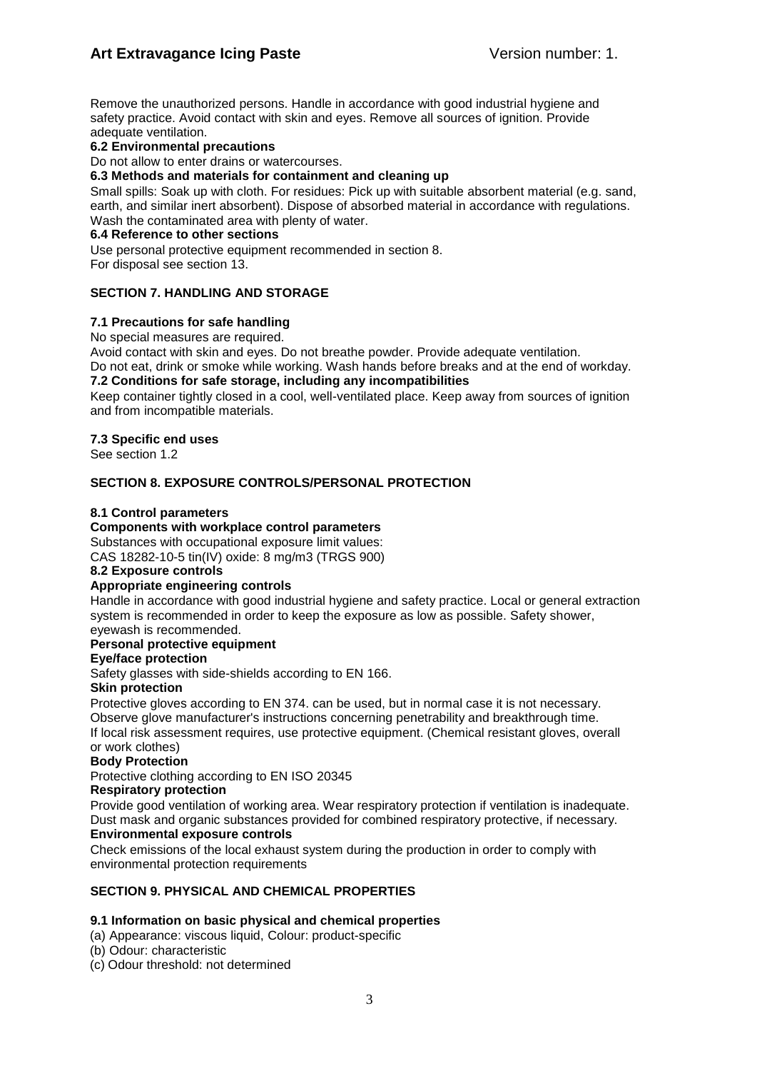Remove the unauthorized persons. Handle in accordance with good industrial hygiene and safety practice. Avoid contact with skin and eyes. Remove all sources of ignition. Provide adequate ventilation.

**6.2 Environmental precautions**

Do not allow to enter drains or watercourses.

### **6.3 Methods and materials for containment and cleaning up**

Small spills: Soak up with cloth. For residues: Pick up with suitable absorbent material (e.g. sand, earth, and similar inert absorbent). Dispose of absorbed material in accordance with regulations. Wash the contaminated area with plenty of water.

### **6.4 Reference to other sections**

Use personal protective equipment recommended in section 8.

For disposal see section 13.

# **SECTION 7. HANDLING AND STORAGE**

# **7.1 Precautions for safe handling**

No special measures are required.

Avoid contact with skin and eyes. Do not breathe powder. Provide adequate ventilation.

Do not eat, drink or smoke while working. Wash hands before breaks and at the end of workday. **7.2 Conditions for safe storage, including any incompatibilities**

Keep container tightly closed in a cool, well-ventilated place. Keep away from sources of ignition and from incompatible materials.

### **7.3 Specific end uses**

See section 1.2

### **SECTION 8. EXPOSURE CONTROLS/PERSONAL PROTECTION**

#### **8.1 Control parameters**

## **Components with workplace control parameters**

Substances with occupational exposure limit values: CAS 18282-10-5 tin(IV) oxide: 8 mg/m3 (TRGS 900)

#### **8.2 Exposure controls**

# **Appropriate engineering controls**

Handle in accordance with good industrial hygiene and safety practice. Local or general extraction system is recommended in order to keep the exposure as low as possible. Safety shower, eyewash is recommended.

# **Personal protective equipment**

# **Eye/face protection**

Safety glasses with side-shields according to EN 166.

#### **Skin protection**

Protective gloves according to EN 374. can be used, but in normal case it is not necessary. Observe glove manufacturer's instructions concerning penetrability and breakthrough time. If local risk assessment requires, use protective equipment. (Chemical resistant gloves, overall or work clothes)

#### **Body Protection**

Protective clothing according to EN ISO 20345

# **Respiratory protection**

Provide good ventilation of working area. Wear respiratory protection if ventilation is inadequate. Dust mask and organic substances provided for combined respiratory protective, if necessary. **Environmental exposure controls**

Check emissions of the local exhaust system during the production in order to comply with environmental protection requirements

# **SECTION 9. PHYSICAL AND CHEMICAL PROPERTIES**

# **9.1 Information on basic physical and chemical properties**

(a) Appearance: viscous liquid, Colour: product-specific

(b) Odour: characteristic

(c) Odour threshold: not determined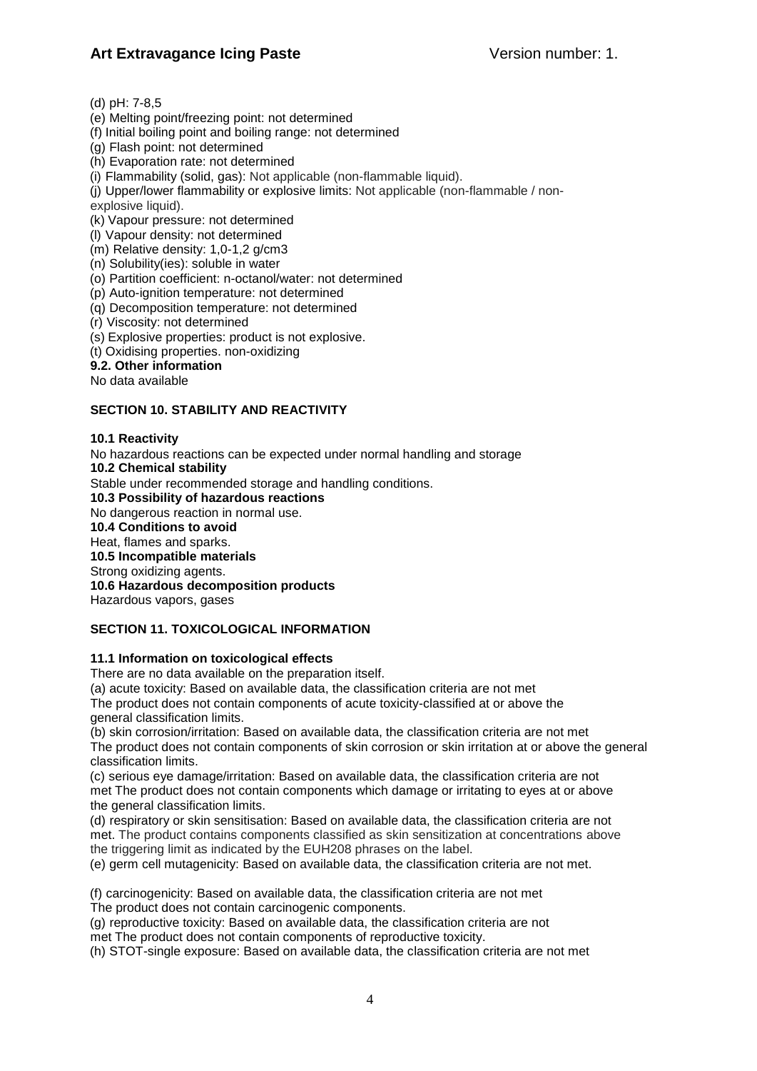# Art Extravagance Icing Paste **Version number: 1.**

### (d) pH: 7-8,5

- (e) Melting point/freezing point: not determined
- (f) Initial boiling point and boiling range: not determined
- (g) Flash point: not determined
- (h) Evaporation rate: not determined
- (i) Flammability (solid, gas): Not applicable (non-flammable liquid).
- (j) Upper/lower flammability or explosive limits: Not applicable (non-flammable / non-
- explosive liquid).
- (k) Vapour pressure: not determined
- (l) Vapour density: not determined
- (m) Relative density: 1,0-1,2 g/cm3
- (n) Solubility(ies): soluble in water
- (o) Partition coefficient: n-octanol/water: not determined
- (p) Auto-ignition temperature: not determined
- (q) Decomposition temperature: not determined
- (r) Viscosity: not determined
- (s) Explosive properties: product is not explosive.
- (t) Oxidising properties. non-oxidizing

### **9.2. Other information**

No data available

# **SECTION 10. STABILITY AND REACTIVITY**

### **10.1 Reactivity**

No hazardous reactions can be expected under normal handling and storage **10.2 Chemical stability** Stable under recommended storage and handling conditions. **10.3 Possibility of hazardous reactions** No dangerous reaction in normal use. **10.4 Conditions to avoid** Heat, flames and sparks. **10.5 Incompatible materials** Strong oxidizing agents. **10.6 Hazardous decomposition products** Hazardous vapors, gases

# **SECTION 11. TOXICOLOGICAL INFORMATION**

# **11.1 Information on toxicological effects**

There are no data available on the preparation itself.

(a) acute toxicity: Based on available data, the classification criteria are not met The product does not contain components of acute toxicity-classified at or above the general classification limits.

(b) skin corrosion/irritation: Based on available data, the classification criteria are not met The product does not contain components of skin corrosion or skin irritation at or above the general classification limits.

(c) serious eye damage/irritation: Based on available data, the classification criteria are not met The product does not contain components which damage or irritating to eyes at or above the general classification limits.

(d) respiratory or skin sensitisation: Based on available data, the classification criteria are not met. The product contains components classified as skin sensitization at concentrations above the triggering limit as indicated by the EUH208 phrases on the label.

(e) germ cell mutagenicity: Based on available data, the classification criteria are not met.

(f) carcinogenicity: Based on available data, the classification criteria are not met The product does not contain carcinogenic components.

(g) reproductive toxicity: Based on available data, the classification criteria are not met The product does not contain components of reproductive toxicity.

(h) STOT-single exposure: Based on available data, the classification criteria are not met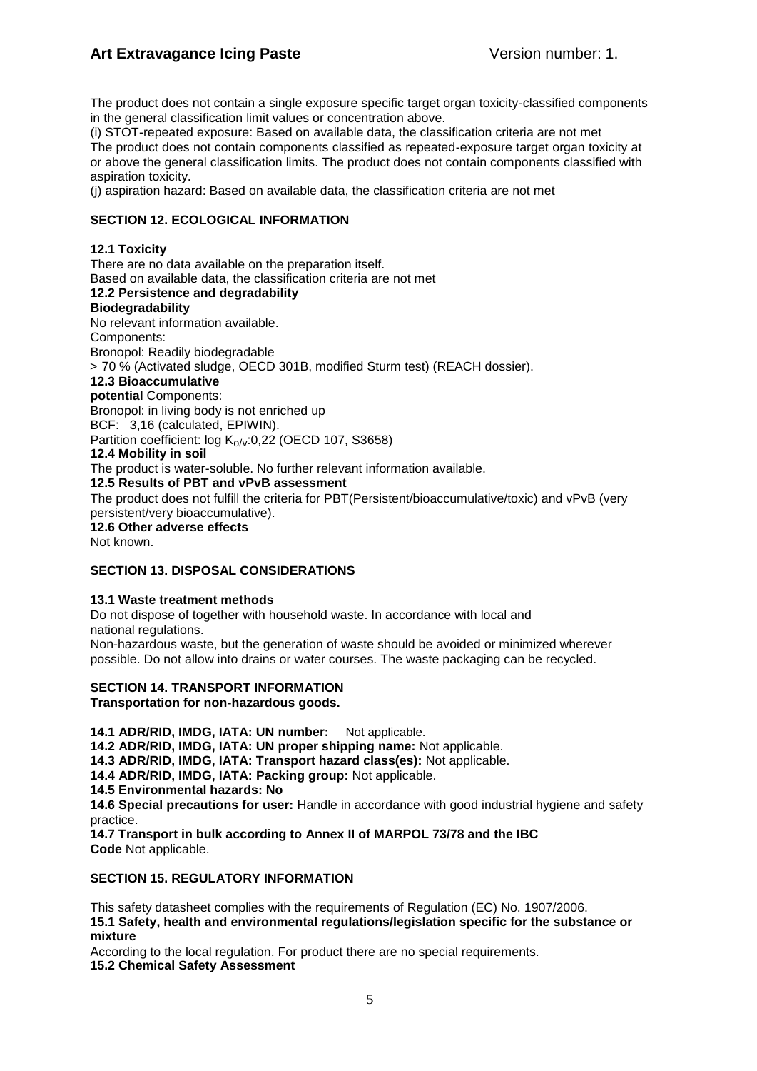# Art Extravagance Icing Paste<br>
Version number: 1.

The product does not contain a single exposure specific target organ toxicity-classified components in the general classification limit values or concentration above.

(i) STOT-repeated exposure: Based on available data, the classification criteria are not met The product does not contain components classified as repeated-exposure target organ toxicity at or above the general classification limits. The product does not contain components classified with aspiration toxicity.

(j) aspiration hazard: Based on available data, the classification criteria are not met

# **SECTION 12. ECOLOGICAL INFORMATION**

# **12.1 Toxicity**

There are no data available on the preparation itself. Based on available data, the classification criteria are not met **12.2 Persistence and degradability Biodegradability** No relevant information available. Components: Bronopol: Readily biodegradable > 70 % (Activated sludge, OECD 301B, modified Sturm test) (REACH dossier). **12.3 Bioaccumulative potential** Components: Bronopol: in living body is not enriched up BCF: 3,16 (calculated, EPIWIN). Partition coefficient: log K<sub>o/v</sub>:0,22 (OECD 107, S3658) **12.4 Mobility in soil** The product is water-soluble. No further relevant information available. **12.5 Results of PBT and vPvB assessment** The product does not fulfill the criteria for PBT(Persistent/bioaccumulative/toxic) and vPvB (very persistent/very bioaccumulative). **12.6 Other adverse effects**  Not known.

# **SECTION 13. DISPOSAL CONSIDERATIONS**

# **13.1 Waste treatment methods**

Do not dispose of together with household waste. In accordance with local and national regulations.

Non-hazardous waste, but the generation of waste should be avoided or minimized wherever possible. Do not allow into drains or water courses. The waste packaging can be recycled.

# **SECTION 14. TRANSPORT INFORMATION**

**Transportation for non-hazardous goods.**

**14.1 ADR/RID, IMDG, IATA: UN number:** Not applicable.

**14.2 ADR/RID, IMDG, IATA: UN proper shipping name:** Not applicable.

**14.3 ADR/RID, IMDG, IATA: Transport hazard class(es):** Not applicable.

**14.4 ADR/RID, IMDG, IATA: Packing group:** Not applicable.

**14.5 Environmental hazards: No**

**14.6 Special precautions for user:** Handle in accordance with good industrial hygiene and safety practice.

**14.7 Transport in bulk according to Annex II of MARPOL 73/78 and the IBC Code** Not applicable.

# **SECTION 15. REGULATORY INFORMATION**

This safety datasheet complies with the requirements of Regulation (EC) No. 1907/2006. **15.1 Safety, health and environmental regulations/legislation specific for the substance or mixture**

According to the local regulation. For product there are no special requirements. **15.2 Chemical Safety Assessment**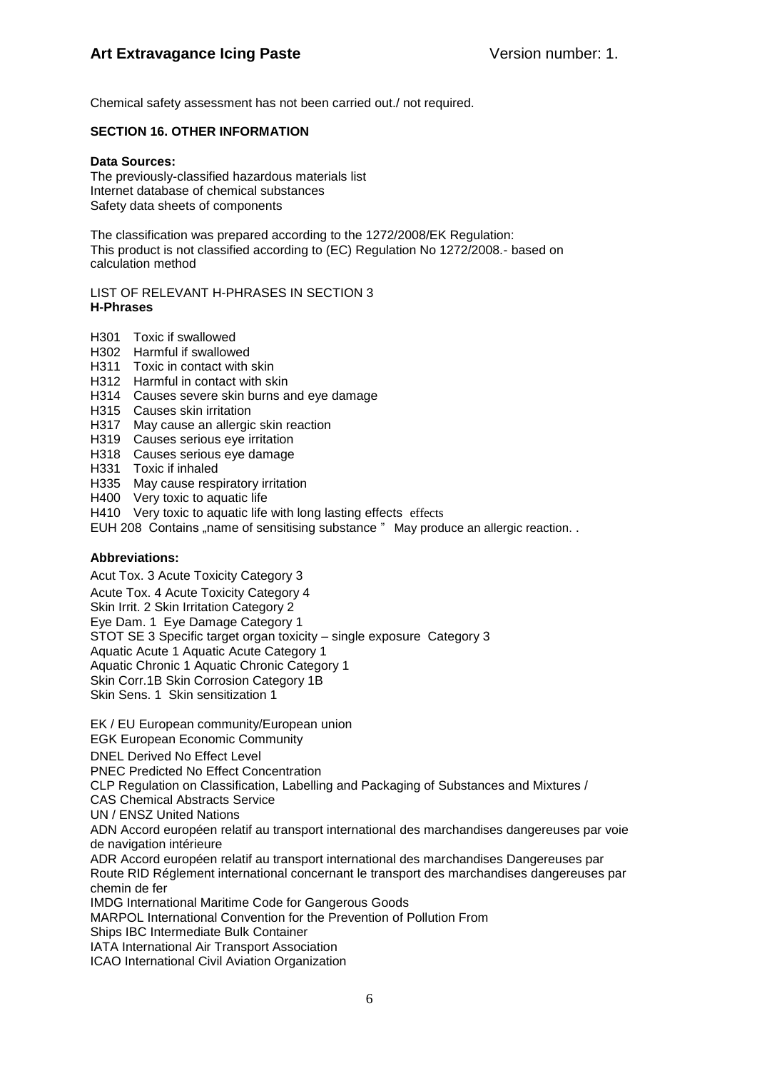Chemical safety assessment has not been carried out./ not required.

# **SECTION 16. OTHER INFORMATION**

### **Data Sources:**

The previously-classified hazardous materials list Internet database of chemical substances Safety data sheets of components

The classification was prepared according to the 1272/2008/EK Regulation: This product is not classified according to (EC) Regulation No 1272/2008.- based on calculation method

### LIST OF RELEVANT H-PHRASES IN SECTION 3 **H-Phrases**

- H301 Toxic if swallowed
- H302 Harmful if swallowed
- H311 Toxic in contact with skin
- H312 Harmful in contact with skin
- H314 Causes severe skin burns and eye damage
- H315 Causes skin irritation
- H317 May cause an allergic skin reaction
- H319 Causes serious eye irritation
- H318 Causes serious eye damage
- H331 Toxic if inhaled
- H335 May cause respiratory irritation
- H400 Very toxic to aquatic life
- H410 Very toxic to aquatic life with long lasting effects effects
- EUH 208 Contains ... name of sensitising substance " May produce an allergic reaction...

# **Abbreviations:**

Acut Tox. 3 Acute Toxicity Category 3

Acute Tox. 4 Acute Toxicity Category 4

Skin Irrit. 2 Skin Irritation Category 2

Eye Dam. 1 Eye Damage Category 1

STOT SE 3 Specific target organ toxicity – single exposure Category 3

Aquatic Acute 1 Aquatic Acute Category 1

Aquatic Chronic 1 Aquatic Chronic Category 1

Skin Corr.1B Skin Corrosion Category 1B

Skin Sens. 1 Skin sensitization 1

EK / EU European community/European union EGK European Economic Community DNEL Derived No Effect Level PNEC Predicted No Effect Concentration CLP Regulation on Classification, Labelling and Packaging of Substances and Mixtures / CAS Chemical Abstracts Service UN / ENSZ United Nations ADN Accord européen relatif au transport international des marchandises dangereuses par voie de navigation intérieure ADR Accord européen relatif au transport international des marchandises Dangereuses par Route RID Réglement international concernant le transport des marchandises dangereuses par chemin de fer IMDG International Maritime Code for Gangerous Goods MARPOL International Convention for the Prevention of Pollution From Ships IBC Intermediate Bulk Container IATA International Air Transport Association

ICAO International Civil Aviation Organization